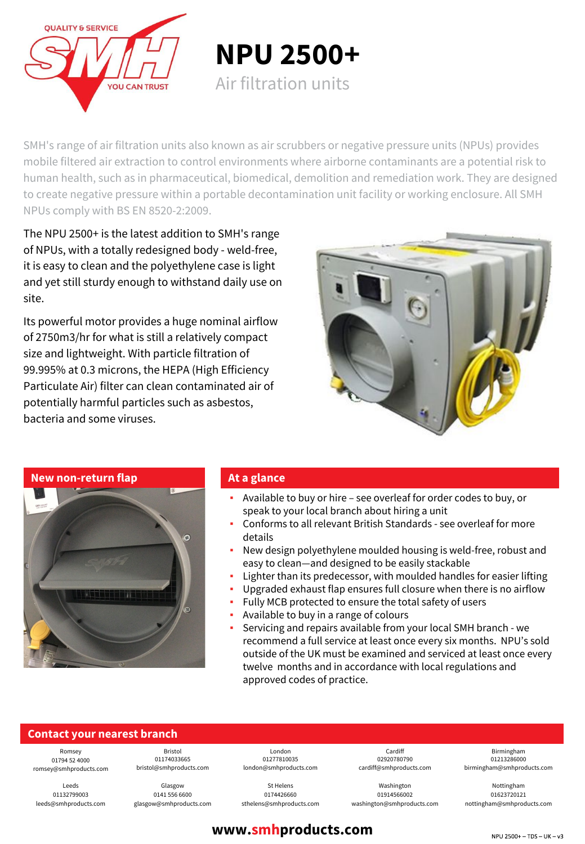

**NPU 2500+**

Air filtration units

SMH's range of air filtration units also known as air scrubbers or negative pressure units (NPUs) provides mobile filtered air extraction to control environments where airborne contaminants are a potential risk to human health, such as in pharmaceutical, biomedical, demolition and remediation work. They are designed to create negative pressure within a portable decontamination unit facility or working enclosure. All SMH NPUs comply with BS EN 8520-2:2009.

The NPU 2500+ is the latest addition to SMH's range of NPUs, with a totally redesigned body - weld-free, it is easy to clean and the polyethylene case is light and yet still sturdy enough to withstand daily use on site.

Its powerful motor provides a huge nominal airflow of 2750m3/hr for what is still a relatively compact size and lightweight. With particle filtration of 99.995% at 0.3 microns, the HEPA (High Efficiency Particulate Air) filter can clean contaminated air of potentially harmful particles such as asbestos, bacteria and some viruses.



**New non-return flap**



#### **At a glance**

- Available to buy or hire see overleaf for order codes to buy, or speak to your local branch about hiring a unit
- Conforms to all relevant British Standards see overleaf for more details
- New design polyethylene moulded housing is weld-free, robust and easy to clean—and designed to be easily stackable
- Lighter than its predecessor, with moulded handles for easier lifting
- Upgraded exhaust flap ensures full closure when there is no airflow
- Fully MCB protected to ensure the total safety of users
- Available to buy in a range of colours
- Servicing and repairs available from your local SMH branch we recommend a full service at least once every six months. NPU's sold outside of the UK must be examined and serviced at least once every twelve months and in accordance with local regulations and approved codes of practice.

### **Contact your nearest branch**

Romsey 01794 52 4000 romsey@smhproducts.com

Leeds 01132799003 leeds@smhproducts.com

01174033665 bristol@smhproducts.com Glasgow

Bristol

0141 556 6600 glasgow@smhproducts.com

London 01277810035 london@smhproducts.com

St Helens 0174426660 sthelens@smhproducts.com

Cardiff 02920780790 cardiff@smhproducts.com

Washington 01914566002 washington@smhproducts.com

Birmingham 01213286000 birmingham@smhproducts.com

Nottingham 01623720121 nottingham@smhproducts.com

# **www.smhproducts.com**